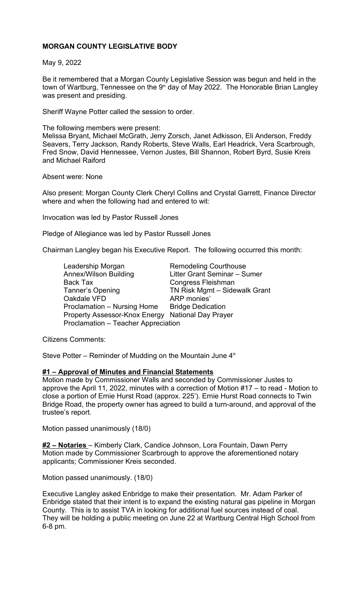# **MORGAN COUNTY LEGISLATIVE BODY**

May 9, 2022

Be it remembered that a Morgan County Legislative Session was begun and held in the town of Wartburg, Tennessee on the 9<sup>th</sup> day of May 2022. The Honorable Brian Langley was present and presiding.

Sheriff Wayne Potter called the session to order.

The following members were present:

Melissa Bryant, Michael McGrath, Jerry Zorsch, Janet Adkisson, Eli Anderson, Freddy Seavers, Terry Jackson, Randy Roberts, Steve Walls, Earl Headrick, Vera Scarbrough, Fred Snow, David Hennessee, Vernon Justes, Bill Shannon, Robert Byrd, Susie Kreis and Michael Raiford

Absent were: None

Also present: Morgan County Clerk Cheryl Collins and Crystal Garrett, Finance Director where and when the following had and entered to wit:

Invocation was led by Pastor Russell Jones

Pledge of Allegiance was led by Pastor Russell Jones

Chairman Langley began his Executive Report. The following occurred this month:

| Leadership Morgan                                 | <b>Remodeling Courthouse</b>  |
|---------------------------------------------------|-------------------------------|
| <b>Annex/Wilson Building</b>                      | Litter Grant Seminar - Sumer  |
| Back Tax                                          | Congress Fleishman            |
| Tanner's Opening                                  | TN Risk Mgmt - Sidewalk Grant |
| Oakdale VFD                                       | ARP monies'                   |
| Proclamation - Nursing Home                       | <b>Bridge Dedication</b>      |
| Property Assessor-Knox Energy National Day Prayer |                               |
| Proclamation - Teacher Appreciation               |                               |

Citizens Comments:

Steve Potter – Reminder of Mudding on the Mountain June  $4<sup>th</sup>$ 

#### **#1 – Approval of Minutes and Financial Statements**

Motion made by Commissioner Walls and seconded by Commissioner Justes to approve the April 11, 2022, minutes with a correction of Motion #17 – to read - Motion to close a portion of Ernie Hurst Road (approx. 225'). Ernie Hurst Road connects to Twin Bridge Road, the property owner has agreed to build a turn-around, and approval of the trustee's report.

Motion passed unanimously (18/0)

**#2 – Notaries** – Kimberly Clark, Candice Johnson, Lora Fountain, Dawn Perry Motion made by Commissioner Scarbrough to approve the aforementioned notary applicants; Commissioner Kreis seconded.

Motion passed unanimously. (18/0)

Executive Langley asked Enbridge to make their presentation. Mr. Adam Parker of Enbridge stated that their intent is to expand the existing natural gas pipeline in Morgan County. This is to assist TVA in looking for additional fuel sources instead of coal. They will be holding a public meeting on June 22 at Wartburg Central High School from 6-8 pm.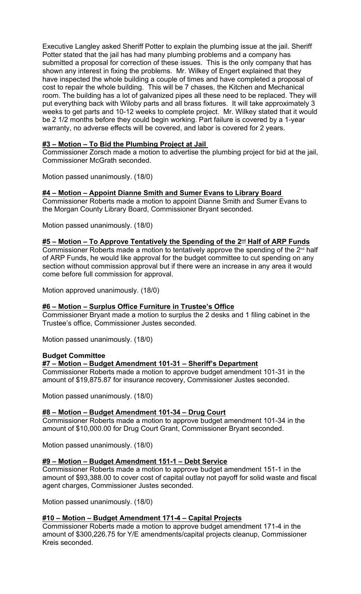Executive Langley asked Sheriff Potter to explain the plumbing issue at the jail. Sheriff Potter stated that the jail has had many plumbing problems and a company has submitted a proposal for correction of these issues. This is the only company that has shown any interest in fixing the problems. Mr. Wilkey of Engert explained that they have inspected the whole building a couple of times and have completed a proposal of cost to repair the whole building. This will be 7 chases, the Kitchen and Mechanical room. The building has a lot of galvanized pipes all these need to be replaced. They will put everything back with Wiloby parts and all brass fixtures. It will take approximately 3 weeks to get parts and 10-12 weeks to complete project. Mr. Wilkey stated that it would be 2 1/2 months before they could begin working. Part failure is covered by a 1-year warranty, no adverse effects will be covered, and labor is covered for 2 years.

# **#3 – Motion – To Bid the Plumbing Project at Jail**

Commissioner Zorsch made a motion to advertise the plumbing project for bid at the jail, Commissioner McGrath seconded.

Motion passed unanimously. (18/0)

### **#4 – Motion – Appoint Dianne Smith and Sumer Evans to Library Board**

Commissioner Roberts made a motion to appoint Dianne Smith and Sumer Evans to the Morgan County Library Board, Commissioner Bryant seconded.

Motion passed unanimously. (18/0)

# **#5 – Motion – To Approve Tentatively the Spending of the 2nd Half of ARP Funds**

Commissioner Roberts made a motion to tentatively approve the spending of the  $2^{nd}$  half of ARP Funds, he would like approval for the budget committee to cut spending on any section without commission approval but if there were an increase in any area it would come before full commission for approval.

Motion approved unanimously. (18/0)

#### **#6 – Motion – Surplus Office Furniture in Trustee's Office**

Commissioner Bryant made a motion to surplus the 2 desks and 1 filing cabinet in the Trustee's office, Commissioner Justes seconded.

Motion passed unanimously. (18/0)

#### **Budget Committee**

### **#7 – Motion – Budget Amendment 101-31 – Sheriff's Department**

Commissioner Roberts made a motion to approve budget amendment 101-31 in the amount of \$19,875.87 for insurance recovery, Commissioner Justes seconded.

Motion passed unanimously. (18/0)

#### **#8 – Motion – Budget Amendment 101-34 – Drug Court**

Commissioner Roberts made a motion to approve budget amendment 101-34 in the amount of \$10,000.00 for Drug Court Grant, Commissioner Bryant seconded.

Motion passed unanimously. (18/0)

#### **#9 – Motion – Budget Amendment 151-1 – Debt Service**

Commissioner Roberts made a motion to approve budget amendment 151-1 in the amount of \$93,388.00 to cover cost of capital outlay not payoff for solid waste and fiscal agent charges, Commissioner Justes seconded.

Motion passed unanimously. (18/0)

#### **#10 – Motion – Budget Amendment 171-4 – Capital Projects**

Commissioner Roberts made a motion to approve budget amendment 171-4 in the amount of \$300,226.75 for Y/E amendments/capital projects cleanup, Commissioner Kreis seconded.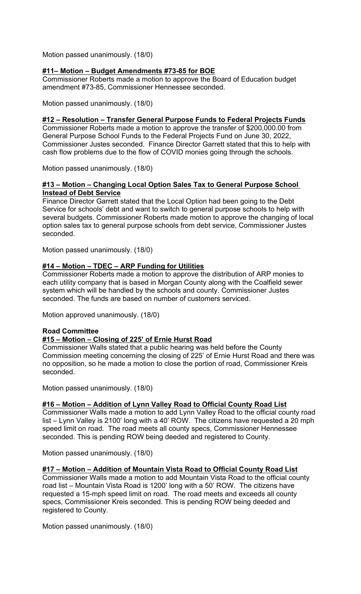Motion passed unanimously. (18/0)

### **#11– Motion – Budget Amendments #73-85 for BOE**

Commissioner Roberts made a motion to approve the Board of Education budget amendment #73-85, Commissioner Hennessee seconded.

Motion passed unanimously. (18/0)

### **#12 – Resolution – Transfer General Purpose Funds to Federal Projects Funds**

Commissioner Roberts made a motion to approve the transfer of \$200,000.00 from General Purpose School Funds to the Federal Projects Fund on June 30, 2022, Commissioner Justes seconded. Finance Director Garrett stated that this to help with cash flow problems due to the flow of COVID monies going through the schools.

Motion passed unanimously. (18/0)

### **#13 – Motion – Changing Local Option Sales Tax to General Purpose School Instead of Debt Service**

Finance Director Garrett stated that the Local Option had been going to the Debt Service for schools' debt and want to switch to general purpose schools to help with several budgets. Commissioner Roberts made motion to approve the changing of local option sales tax to general purpose schools from debt service, Commissioner Justes seconded.

Motion passed unanimously. (18/0)

## **#14 – Motion – TDEC – ARP Funding for Utilities**

Commissioner Roberts made a motion to approve the distribution of ARP monies to each utility company that is based in Morgan County along with the Coalfield sewer system which will be handled by the schools and county. Commissioner Justes seconded. The funds are based on number of customers serviced.

Motion approved unanimously. (18/0)

#### **Road Committee**

## **#15 – Motion – Closing of 225' of Ernie Hurst Road**

Commissioner Walls stated that a public hearing was held before the County Commission meeting concerning the closing of 225' of Ernie Hurst Road and there was no opposition, so he made a motion to close the portion of road, Commissioner Kreis seconded.

Motion passed unanimously. (18/0)

#### **#16 – Motion – Addition of Lynn Valley Road to Official County Road List**

Commissioner Walls made a motion to add Lynn Valley Road to the official county road list – Lynn Valley is 2100' long with a 40' ROW. The citizens have requested a 20 mph speed limit on road. The road meets all county specs, Commissioner Hennessee seconded. This is pending ROW being deeded and registered to County.

Motion passed unanimously. (18/0)

## **#17 – Motion – Addition of Mountain Vista Road to Official County Road List**

Commissioner Walls made a motion to add Mountain Vista Road to the official county road list – Mountain Vista Road is 1200' long with a 50' ROW. The citizens have requested a 15-mph speed limit on road. The road meets and exceeds all county specs, Commissioner Kreis seconded. This is pending ROW being deeded and registered to County.

Motion passed unanimously. (18/0)